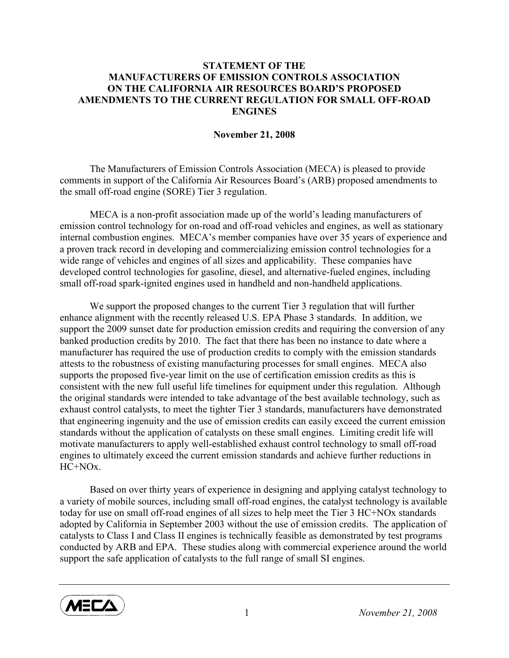## STATEMENT OF THE MANUFACTURERS OF EMISSION CONTROLS ASSOCIATION ON THE CALIFORNIA AIR RESOURCES BOARD'S PROPOSED AMENDMENTS TO THE CURRENT REGULATION FOR SMALL OFF-ROAD **ENGINES**

## November 21, 2008

 The Manufacturers of Emission Controls Association (MECA) is pleased to provide comments in support of the California Air Resources Board's (ARB) proposed amendments to the small off-road engine (SORE) Tier 3 regulation.

MECA is a non-profit association made up of the world's leading manufacturers of emission control technology for on-road and off-road vehicles and engines, as well as stationary internal combustion engines. MECA's member companies have over 35 years of experience and a proven track record in developing and commercializing emission control technologies for a wide range of vehicles and engines of all sizes and applicability. These companies have developed control technologies for gasoline, diesel, and alternative-fueled engines, including small off-road spark-ignited engines used in handheld and non-handheld applications.

We support the proposed changes to the current Tier 3 regulation that will further enhance alignment with the recently released U.S. EPA Phase 3 standards. In addition, we support the 2009 sunset date for production emission credits and requiring the conversion of any banked production credits by 2010. The fact that there has been no instance to date where a manufacturer has required the use of production credits to comply with the emission standards attests to the robustness of existing manufacturing processes for small engines. MECA also supports the proposed five-year limit on the use of certification emission credits as this is consistent with the new full useful life timelines for equipment under this regulation. Although the original standards were intended to take advantage of the best available technology, such as exhaust control catalysts, to meet the tighter Tier 3 standards, manufacturers have demonstrated that engineering ingenuity and the use of emission credits can easily exceed the current emission standards without the application of catalysts on these small engines. Limiting credit life will motivate manufacturers to apply well-established exhaust control technology to small off-road engines to ultimately exceed the current emission standards and achieve further reductions in  $HC+NOx$ .

Based on over thirty years of experience in designing and applying catalyst technology to a variety of mobile sources, including small off-road engines, the catalyst technology is available today for use on small off-road engines of all sizes to help meet the Tier 3 HC+NOx standards adopted by California in September 2003 without the use of emission credits. The application of catalysts to Class I and Class II engines is technically feasible as demonstrated by test programs conducted by ARB and EPA. These studies along with commercial experience around the world support the safe application of catalysts to the full range of small SI engines.



1 November 21, 2008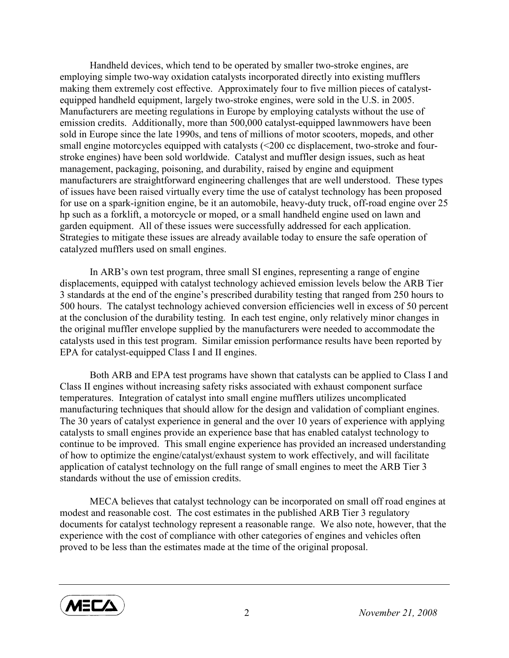Handheld devices, which tend to be operated by smaller two-stroke engines, are employing simple two-way oxidation catalysts incorporated directly into existing mufflers making them extremely cost effective. Approximately four to five million pieces of catalystequipped handheld equipment, largely two-stroke engines, were sold in the U.S. in 2005. Manufacturers are meeting regulations in Europe by employing catalysts without the use of emission credits. Additionally, more than 500,000 catalyst-equipped lawnmowers have been sold in Europe since the late 1990s, and tens of millions of motor scooters, mopeds, and other small engine motorcycles equipped with catalysts (<200 cc displacement, two-stroke and fourstroke engines) have been sold worldwide. Catalyst and muffler design issues, such as heat management, packaging, poisoning, and durability, raised by engine and equipment manufacturers are straightforward engineering challenges that are well understood. These types of issues have been raised virtually every time the use of catalyst technology has been proposed for use on a spark-ignition engine, be it an automobile, heavy-duty truck, off-road engine over 25 hp such as a forklift, a motorcycle or moped, or a small handheld engine used on lawn and garden equipment. All of these issues were successfully addressed for each application. Strategies to mitigate these issues are already available today to ensure the safe operation of catalyzed mufflers used on small engines.

In ARB's own test program, three small SI engines, representing a range of engine displacements, equipped with catalyst technology achieved emission levels below the ARB Tier 3 standards at the end of the engine's prescribed durability testing that ranged from 250 hours to 500 hours. The catalyst technology achieved conversion efficiencies well in excess of 50 percent at the conclusion of the durability testing. In each test engine, only relatively minor changes in the original muffler envelope supplied by the manufacturers were needed to accommodate the catalysts used in this test program. Similar emission performance results have been reported by EPA for catalyst-equipped Class I and II engines.

Both ARB and EPA test programs have shown that catalysts can be applied to Class I and Class II engines without increasing safety risks associated with exhaust component surface temperatures. Integration of catalyst into small engine mufflers utilizes uncomplicated manufacturing techniques that should allow for the design and validation of compliant engines. The 30 years of catalyst experience in general and the over 10 years of experience with applying catalysts to small engines provide an experience base that has enabled catalyst technology to continue to be improved. This small engine experience has provided an increased understanding of how to optimize the engine/catalyst/exhaust system to work effectively, and will facilitate application of catalyst technology on the full range of small engines to meet the ARB Tier 3 standards without the use of emission credits.

MECA believes that catalyst technology can be incorporated on small off road engines at modest and reasonable cost. The cost estimates in the published ARB Tier 3 regulatory documents for catalyst technology represent a reasonable range. We also note, however, that the experience with the cost of compliance with other categories of engines and vehicles often proved to be less than the estimates made at the time of the original proposal.